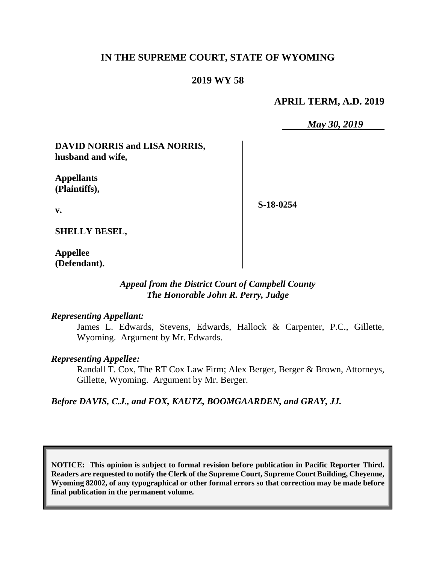# **IN THE SUPREME COURT, STATE OF WYOMING**

## **2019 WY 58**

### **APRIL TERM, A.D. 2019**

*May 30, 2019*

**DAVID NORRIS and LISA NORRIS, husband and wife,**

**Appellants (Plaintiffs),**

**S-18-0254**

**v.**

**SHELLY BESEL,**

**Appellee (Defendant).**

### *Appeal from the District Court of Campbell County The Honorable John R. Perry, Judge*

#### *Representing Appellant:*

James L. Edwards, Stevens, Edwards, Hallock & Carpenter, P.C., Gillette, Wyoming. Argument by Mr. Edwards.

#### *Representing Appellee:*

Randall T. Cox, The RT Cox Law Firm; Alex Berger, Berger & Brown, Attorneys, Gillette, Wyoming. Argument by Mr. Berger.

*Before DAVIS, C.J., and FOX, KAUTZ, BOOMGAARDEN, and GRAY, JJ.*

**NOTICE: This opinion is subject to formal revision before publication in Pacific Reporter Third. Readers are requested to notify the Clerk of the Supreme Court, Supreme Court Building, Cheyenne, Wyoming 82002, of any typographical or other formal errors so that correction may be made before final publication in the permanent volume.**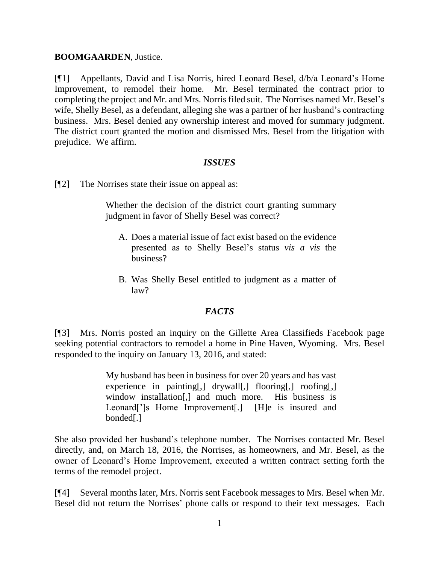### **BOOMGAARDEN**, Justice.

[¶1] Appellants, David and Lisa Norris, hired Leonard Besel, d/b/a Leonard's Home Improvement, to remodel their home. Mr. Besel terminated the contract prior to completing the project and Mr. and Mrs. Norrisfiled suit. The Norrises named Mr. Besel's wife, Shelly Besel, as a defendant, alleging she was a partner of her husband's contracting business. Mrs. Besel denied any ownership interest and moved for summary judgment. The district court granted the motion and dismissed Mrs. Besel from the litigation with prejudice. We affirm.

### *ISSUES*

[¶2] The Norrises state their issue on appeal as:

Whether the decision of the district court granting summary judgment in favor of Shelly Besel was correct?

- A. Does a material issue of fact exist based on the evidence presented as to Shelly Besel's status *vis a vis* the business?
- B. Was Shelly Besel entitled to judgment as a matter of law?

### *FACTS*

[¶3] Mrs. Norris posted an inquiry on the Gillette Area Classifieds Facebook page seeking potential contractors to remodel a home in Pine Haven, Wyoming. Mrs. Besel responded to the inquiry on January 13, 2016, and stated:

> My husband has been in business for over 20 years and has vast experience in painting[,] drywall[,] flooring[,] roofing[,] window installation[,] and much more. His business is Leonard<sup>[']</sup>s Home Improvement<sup>[']</sup>. [H]e is insured and bonded[.]

She also provided her husband's telephone number. The Norrises contacted Mr. Besel directly, and, on March 18, 2016, the Norrises, as homeowners, and Mr. Besel, as the owner of Leonard's Home Improvement, executed a written contract setting forth the terms of the remodel project.

[¶4] Several months later, Mrs. Norris sent Facebook messages to Mrs. Besel when Mr. Besel did not return the Norrises' phone calls or respond to their text messages. Each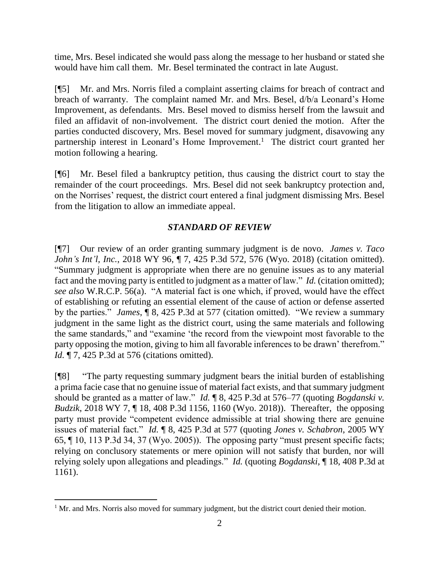time, Mrs. Besel indicated she would pass along the message to her husband or stated she would have him call them. Mr. Besel terminated the contract in late August.

[¶5] Mr. and Mrs. Norris filed a complaint asserting claims for breach of contract and breach of warranty. The complaint named Mr. and Mrs. Besel, d/b/a Leonard's Home Improvement, as defendants. Mrs. Besel moved to dismiss herself from the lawsuit and filed an affidavit of non-involvement. The district court denied the motion. After the parties conducted discovery, Mrs. Besel moved for summary judgment, disavowing any partnership interest in Leonard's Home Improvement.<sup>1</sup> The district court granted her motion following a hearing.

[¶6] Mr. Besel filed a bankruptcy petition, thus causing the district court to stay the remainder of the court proceedings. Mrs. Besel did not seek bankruptcy protection and, on the Norrises' request, the district court entered a final judgment dismissing Mrs. Besel from the litigation to allow an immediate appeal.

# *STANDARD OF REVIEW*

[¶7] Our review of an order granting summary judgment is de novo. *James v. Taco John's Int'l, Inc.*, 2018 WY 96,  $\P$  7, 425 P.3d 572, 576 (Wyo. 2018) (citation omitted). "Summary judgment is appropriate when there are no genuine issues as to any material fact and the moving party is entitled to judgment as a matter of law." *Id.* (citation omitted); *see also* W.R.C.P. 56(a). "A material fact is one which, if proved, would have the effect of establishing or refuting an essential element of the cause of action or defense asserted by the parties." *James*, ¶ 8, 425 P.3d at 577 (citation omitted). "We review a summary judgment in the same light as the district court, using the same materials and following the same standards," and "examine 'the record from the viewpoint most favorable to the party opposing the motion, giving to him all favorable inferences to be drawn' therefrom." *Id.* ¶ 7, 425 P.3d at 576 (citations omitted).

[¶8] "The party requesting summary judgment bears the initial burden of establishing a prima facie case that no genuine issue of material fact exists, and that summary judgment should be granted as a matter of law." *Id.* ¶ 8, 425 P.3d at 576–77 (quoting *Bogdanski v. Budzik*, 2018 WY 7, ¶ 18, 408 P.3d 1156, 1160 (Wyo. 2018)). Thereafter, the opposing party must provide "competent evidence admissible at trial showing there are genuine issues of material fact." *Id.* ¶ 8, 425 P.3d at 577 (quoting *Jones v. Schabron*, 2005 WY 65, ¶ 10, 113 P.3d 34, 37 (Wyo. 2005)). The opposing party "must present specific facts; relying on conclusory statements or mere opinion will not satisfy that burden, nor will relying solely upon allegations and pleadings." *Id.* (quoting *Bogdanski*, ¶ 18, 408 P.3d at 1161).

<sup>&</sup>lt;sup>1</sup> Mr. and Mrs. Norris also moved for summary judgment, but the district court denied their motion.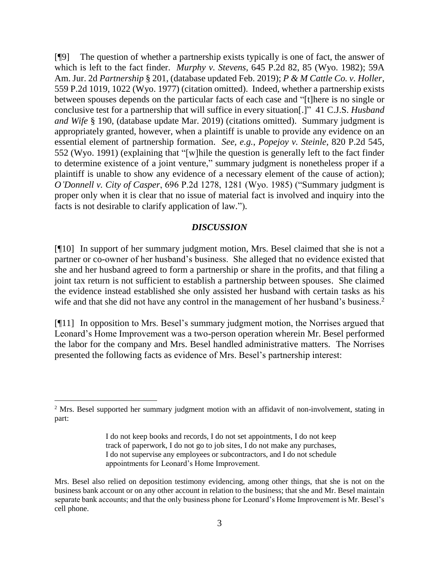[¶9] The question of whether a partnership exists typically is one of fact, the answer of which is left to the fact finder. *Murphy v. Stevens*, 645 P.2d 82, 85 (Wyo. 1982); 59A Am. Jur. 2d *Partnership* § 201, (database updated Feb. 2019); *P & M Cattle Co. v. Holler*, 559 P.2d 1019, 1022 (Wyo. 1977) (citation omitted). Indeed, whether a partnership exists between spouses depends on the particular facts of each case and "[t]here is no single or conclusive test for a partnership that will suffice in every situation[.]" 41 C.J.S. *Husband and Wife* § 190, (database update Mar. 2019) (citations omitted). Summary judgment is appropriately granted, however, when a plaintiff is unable to provide any evidence on an essential element of partnership formation. *See, e.g.*, *Popejoy v. Steinle*, 820 P.2d 545, 552 (Wyo. 1991) (explaining that "[w]hile the question is generally left to the fact finder to determine existence of a joint venture," summary judgment is nonetheless proper if a plaintiff is unable to show any evidence of a necessary element of the cause of action); *O'Donnell v. City of Casper*, 696 P.2d 1278, 1281 (Wyo. 1985) ("Summary judgment is proper only when it is clear that no issue of material fact is involved and inquiry into the facts is not desirable to clarify application of law.").

### *DISCUSSION*

[¶10] In support of her summary judgment motion, Mrs. Besel claimed that she is not a partner or co-owner of her husband's business. She alleged that no evidence existed that she and her husband agreed to form a partnership or share in the profits, and that filing a joint tax return is not sufficient to establish a partnership between spouses. She claimed the evidence instead established she only assisted her husband with certain tasks as his wife and that she did not have any control in the management of her husband's business.<sup>2</sup>

[¶11] In opposition to Mrs. Besel's summary judgment motion, the Norrises argued that Leonard's Home Improvement was a two-person operation wherein Mr. Besel performed the labor for the company and Mrs. Besel handled administrative matters. The Norrises presented the following facts as evidence of Mrs. Besel's partnership interest:

 $\overline{a}$ 

<sup>&</sup>lt;sup>2</sup> Mrs. Besel supported her summary judgment motion with an affidavit of non-involvement, stating in part:

I do not keep books and records, I do not set appointments, I do not keep track of paperwork, I do not go to job sites, I do not make any purchases, I do not supervise any employees or subcontractors, and I do not schedule appointments for Leonard's Home Improvement.

Mrs. Besel also relied on deposition testimony evidencing, among other things, that she is not on the business bank account or on any other account in relation to the business; that she and Mr. Besel maintain separate bank accounts; and that the only business phone for Leonard's Home Improvement is Mr. Besel's cell phone.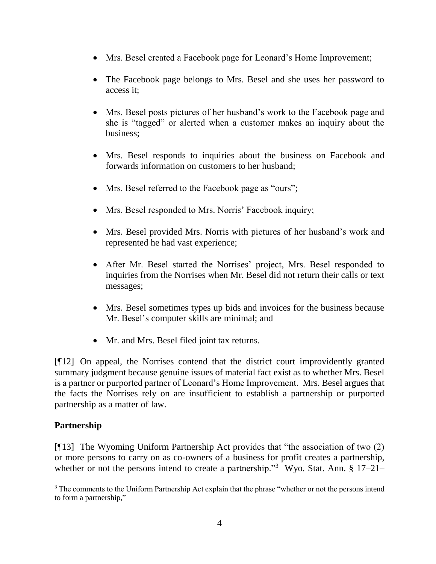- Mrs. Besel created a Facebook page for Leonard's Home Improvement;
- The Facebook page belongs to Mrs. Besel and she uses her password to access it;
- Mrs. Besel posts pictures of her husband's work to the Facebook page and she is "tagged" or alerted when a customer makes an inquiry about the business;
- Mrs. Besel responds to inquiries about the business on Facebook and forwards information on customers to her husband;
- Mrs. Besel referred to the Facebook page as "ours";
- Mrs. Besel responded to Mrs. Norris' Facebook inquiry;
- Mrs. Besel provided Mrs. Norris with pictures of her husband's work and represented he had vast experience;
- After Mr. Besel started the Norrises' project, Mrs. Besel responded to inquiries from the Norrises when Mr. Besel did not return their calls or text messages;
- Mrs. Besel sometimes types up bids and invoices for the business because Mr. Besel's computer skills are minimal; and
- Mr. and Mrs. Besel filed joint tax returns.

[¶12] On appeal, the Norrises contend that the district court improvidently granted summary judgment because genuine issues of material fact exist as to whether Mrs. Besel is a partner or purported partner of Leonard's Home Improvement. Mrs. Besel argues that the facts the Norrises rely on are insufficient to establish a partnership or purported partnership as a matter of law.

# **Partnership**

 $\overline{a}$ 

[¶13] The Wyoming Uniform Partnership Act provides that "the association of two (2) or more persons to carry on as co-owners of a business for profit creates a partnership, whether or not the persons intend to create a partnership."<sup>3</sup> Wyo. Stat. Ann. § 17–21–

<sup>&</sup>lt;sup>3</sup> The comments to the Uniform Partnership Act explain that the phrase "whether or not the persons intend to form a partnership,"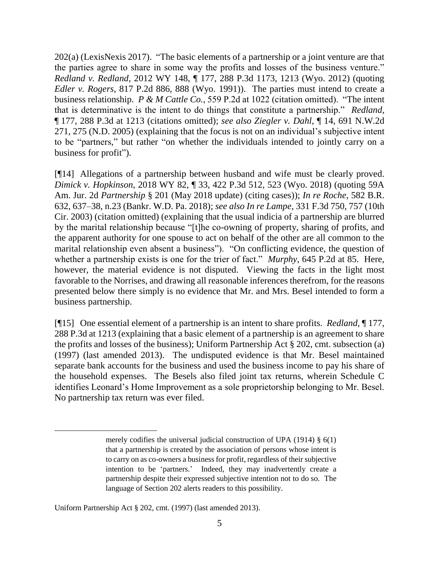202(a) (LexisNexis 2017). "The basic elements of a partnership or a joint venture are that the parties agree to share in some way the profits and losses of the business venture." *Redland v. Redland*, 2012 WY 148, ¶ 177, 288 P.3d 1173, 1213 (Wyo. 2012) (quoting *Edler v. Rogers*, 817 P.2d 886, 888 (Wyo. 1991)). The parties must intend to create a business relationship. *P & M Cattle Co.*, 559 P.2d at 1022 (citation omitted). "The intent that is determinative is the intent to do things that constitute a partnership." *Redland*, ¶ 177, 288 P.3d at 1213 (citations omitted); *see also Ziegler v. Dahl*, ¶ 14, 691 N.W.2d 271, 275 (N.D. 2005) (explaining that the focus is not on an individual's subjective intent to be "partners," but rather "on whether the individuals intended to jointly carry on a business for profit").

[¶14] Allegations of a partnership between husband and wife must be clearly proved. *Dimick v. Hopkinson*, 2018 WY 82, ¶ 33, 422 P.3d 512, 523 (Wyo. 2018) (quoting 59A Am. Jur. 2d *Partnership* § 201 (May 2018 update) (citing cases)); *In re Roche*, 582 B.R. 632, 637–38, n.23 (Bankr. W.D. Pa. 2018); *see also In re Lampe*, 331 F.3d 750, 757 (10th Cir. 2003) (citation omitted) (explaining that the usual indicia of a partnership are blurred by the marital relationship because "[t]he co-owning of property, sharing of profits, and the apparent authority for one spouse to act on behalf of the other are all common to the marital relationship even absent a business"). "On conflicting evidence, the question of whether a partnership exists is one for the trier of fact." *Murphy*, 645 P.2d at 85. Here, however, the material evidence is not disputed. Viewing the facts in the light most favorable to the Norrises, and drawing all reasonable inferences therefrom, for the reasons presented below there simply is no evidence that Mr. and Mrs. Besel intended to form a business partnership.

[¶15] One essential element of a partnership is an intent to share profits. *Redland*, ¶ 177, 288 P.3d at 1213 (explaining that a basic element of a partnership is an agreement to share the profits and losses of the business); Uniform Partnership Act § 202, cmt. subsection (a) (1997) (last amended 2013). The undisputed evidence is that Mr. Besel maintained separate bank accounts for the business and used the business income to pay his share of the household expenses. The Besels also filed joint tax returns, wherein Schedule C identifies Leonard's Home Improvement as a sole proprietorship belonging to Mr. Besel. No partnership tax return was ever filed.

merely codifies the universal judicial construction of UPA (1914) § 6(1) that a partnership is created by the association of persons whose intent is to carry on as co-owners a business for profit, regardless of their subjective intention to be 'partners.' Indeed, they may inadvertently create a partnership despite their expressed subjective intention not to do so. The language of Section 202 alerts readers to this possibility.

Uniform Partnership Act § 202, cmt. (1997) (last amended 2013).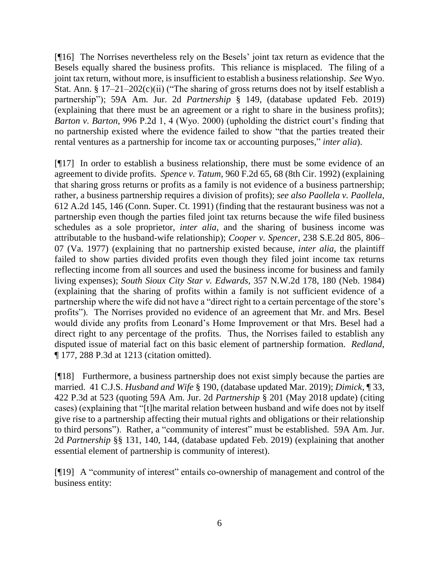[¶16] The Norrises nevertheless rely on the Besels' joint tax return as evidence that the Besels equally shared the business profits. This reliance is misplaced. The filing of a joint tax return, without more, is insufficient to establish a business relationship. *See* Wyo. Stat. Ann. § 17–21–202(c)(ii) ("The sharing of gross returns does not by itself establish a partnership"); 59A Am. Jur. 2d *Partnership* § 149, (database updated Feb. 2019) (explaining that there must be an agreement or a right to share in the business profits); *Barton v. Barton*, 996 P.2d 1, 4 (Wyo. 2000) (upholding the district court's finding that no partnership existed where the evidence failed to show "that the parties treated their rental ventures as a partnership for income tax or accounting purposes," *inter alia*).

[¶17] In order to establish a business relationship, there must be some evidence of an agreement to divide profits. *Spence v. Tatum*, 960 F.2d 65, 68 (8th Cir. 1992) (explaining that sharing gross returns or profits as a family is not evidence of a business partnership; rather, a business partnership requires a division of profits); *see also Paollela v. Paollela*, 612 A.2d 145, 146 (Conn. Super. Ct. 1991) (finding that the restaurant business was not a partnership even though the parties filed joint tax returns because the wife filed business schedules as a sole proprietor, *inter alia*, and the sharing of business income was attributable to the husband-wife relationship); *Cooper v. Spencer*, 238 S.E.2d 805, 806– 07 (Va. 1977) (explaining that no partnership existed because, *inter alia*, the plaintiff failed to show parties divided profits even though they filed joint income tax returns reflecting income from all sources and used the business income for business and family living expenses); *South Sioux City Star v. Edwards*, 357 N.W.2d 178, 180 (Neb. 1984) (explaining that the sharing of profits within a family is not sufficient evidence of a partnership where the wife did not have a "direct right to a certain percentage of the store's profits"). The Norrises provided no evidence of an agreement that Mr. and Mrs. Besel would divide any profits from Leonard's Home Improvement or that Mrs. Besel had a direct right to any percentage of the profits. Thus, the Norrises failed to establish any disputed issue of material fact on this basic element of partnership formation. *Redland*, ¶ 177, 288 P.3d at 1213 (citation omitted).

[¶18] Furthermore, a business partnership does not exist simply because the parties are married. 41 C.J.S. *Husband and Wife* § 190, (database updated Mar. 2019); *Dimick*, ¶ 33, 422 P.3d at 523 (quoting 59A Am. Jur. 2d *Partnership* § 201 (May 2018 update) (citing cases) (explaining that "[t]he marital relation between husband and wife does not by itself give rise to a partnership affecting their mutual rights and obligations or their relationship to third persons"). Rather, a "community of interest" must be established. 59A Am. Jur. 2d *Partnership* §§ 131, 140, 144, (database updated Feb. 2019) (explaining that another essential element of partnership is community of interest).

[¶19] A "community of interest" entails co-ownership of management and control of the business entity: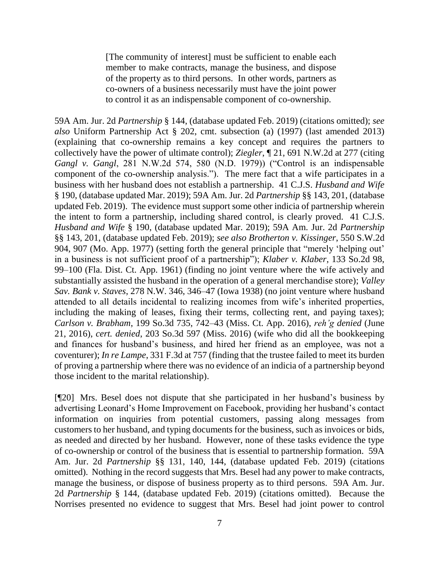[The community of interest] must be sufficient to enable each member to make contracts, manage the business, and dispose of the property as to third persons. In other words, partners as co-owners of a business necessarily must have the joint power to control it as an indispensable component of co-ownership.

59A Am. Jur. 2d *Partnership* § 144, (database updated Feb. 2019) (citations omitted); *see also* Uniform Partnership Act § 202, cmt. subsection (a) (1997) (last amended 2013) (explaining that co-ownership remains a key concept and requires the partners to collectively have the power of ultimate control); *Ziegler*, ¶ 21, 691 N.W.2d at 277 (citing *Gangl v. Gangl*, 281 N.W.2d 574, 580 (N.D. 1979)) ("Control is an indispensable component of the co-ownership analysis."). The mere fact that a wife participates in a business with her husband does not establish a partnership. 41 C.J.S. *Husband and Wife* § 190, (database updated Mar. 2019); 59A Am. Jur. 2d *Partnership* §§ 143, 201, (database updated Feb. 2019). The evidence must support some other indicia of partnership wherein the intent to form a partnership, including shared control, is clearly proved. 41 C.J.S. *Husband and Wife* § 190, (database updated Mar. 2019); 59A Am. Jur. 2d *Partnership* §§ 143, 201, (database updated Feb. 2019); *see also Brotherton v. Kissinger*, 550 S.W.2d 904, 907 (Mo. App. 1977) (setting forth the general principle that "merely 'helping out' in a business is not sufficient proof of a partnership"); *Klaber v. Klaber*, 133 So.2d 98, 99–100 (Fla. Dist. Ct. App. 1961) (finding no joint venture where the wife actively and substantially assisted the husband in the operation of a general merchandise store); *Valley Sav. Bank v. Staves*, 278 N.W. 346, 346–47 (Iowa 1938) (no joint venture where husband attended to all details incidental to realizing incomes from wife's inherited properties, including the making of leases, fixing their terms, collecting rent, and paying taxes); *Carlson v. Brabham*, 199 So.3d 735, 742–43 (Miss. Ct. App. 2016), *reh'g denied* (June 21, 2016), *cert. denied*, 203 So.3d 597 (Miss. 2016) (wife who did all the bookkeeping and finances for husband's business, and hired her friend as an employee, was not a coventurer); *In re Lampe*, 331 F.3d at 757 (finding that the trustee failed to meet its burden of proving a partnership where there was no evidence of an indicia of a partnership beyond those incident to the marital relationship).

[¶20] Mrs. Besel does not dispute that she participated in her husband's business by advertising Leonard's Home Improvement on Facebook, providing her husband's contact information on inquiries from potential customers, passing along messages from customers to her husband, and typing documents for the business, such as invoices or bids, as needed and directed by her husband. However, none of these tasks evidence the type of co-ownership or control of the business that is essential to partnership formation. 59A Am. Jur. 2d *Partnership* §§ 131, 140, 144, (database updated Feb. 2019) (citations omitted). Nothing in the record suggests that Mrs. Besel had any power to make contracts, manage the business, or dispose of business property as to third persons. 59A Am. Jur. 2d *Partnership* § 144, (database updated Feb. 2019) (citations omitted). Because the Norrises presented no evidence to suggest that Mrs. Besel had joint power to control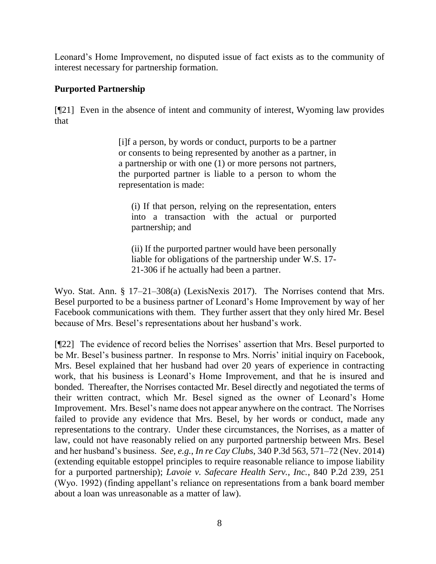Leonard's Home Improvement, no disputed issue of fact exists as to the community of interest necessary for partnership formation.

# **Purported Partnership**

[¶21] Even in the absence of intent and community of interest, Wyoming law provides that

> [i]f a person, by words or conduct, purports to be a partner or consents to being represented by another as a partner, in a partnership or with one (1) or more persons not partners, the purported partner is liable to a person to whom the representation is made:

(i) If that person, relying on the representation, enters into a transaction with the actual or purported partnership; and

(ii) If the purported partner would have been personally liable for obligations of the partnership under W.S. 17- 21-306 if he actually had been a partner.

Wyo. Stat. Ann. § 17–21–308(a) (LexisNexis 2017). The Norrises contend that Mrs. Besel purported to be a business partner of Leonard's Home Improvement by way of her Facebook communications with them. They further assert that they only hired Mr. Besel because of Mrs. Besel's representations about her husband's work.

[¶22] The evidence of record belies the Norrises' assertion that Mrs. Besel purported to be Mr. Besel's business partner. In response to Mrs. Norris' initial inquiry on Facebook, Mrs. Besel explained that her husband had over 20 years of experience in contracting work, that his business is Leonard's Home Improvement, and that he is insured and bonded. Thereafter, the Norrises contacted Mr. Besel directly and negotiated the terms of their written contract, which Mr. Besel signed as the owner of Leonard's Home Improvement. Mrs. Besel's name does not appear anywhere on the contract. The Norrises failed to provide any evidence that Mrs. Besel, by her words or conduct, made any representations to the contrary. Under these circumstances, the Norrises, as a matter of law, could not have reasonably relied on any purported partnership between Mrs. Besel and her husband's business. *See, e.g.*, *In re Cay Clubs*, 340 P.3d 563, 571–72 (Nev. 2014) (extending equitable estoppel principles to require reasonable reliance to impose liability for a purported partnership); *Lavoie v. Safecare Health Serv., Inc.*, 840 P.2d 239, 251 (Wyo. 1992) (finding appellant's reliance on representations from a bank board member about a loan was unreasonable as a matter of law).